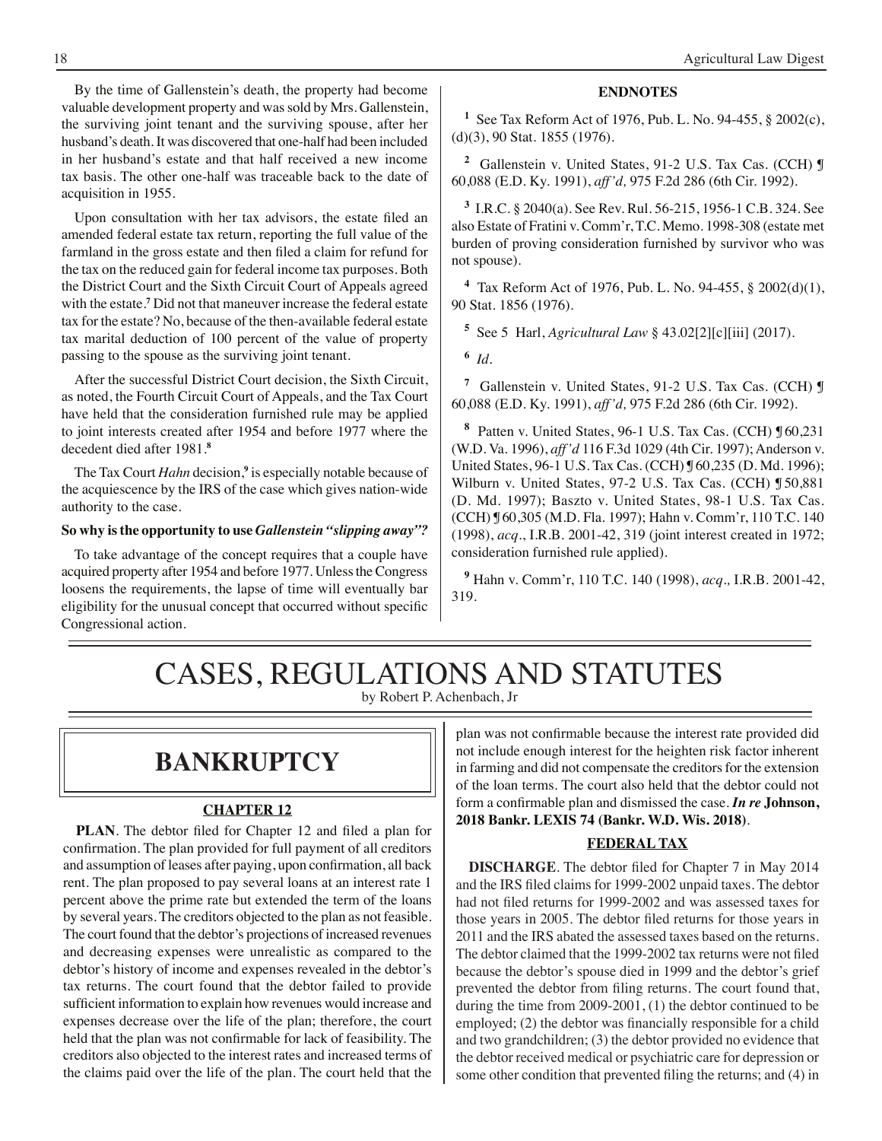By the time of Gallenstein's death, the property had become valuable development property and was sold by Mrs. Gallenstein, the surviving joint tenant and the surviving spouse, after her husband's death. It was discovered that one-half had been included in her husband's estate and that half received a new income tax basis. The other one-half was traceable back to the date of acquisition in 1955.

 Upon consultation with her tax advisors, the estate filed an amended federal estate tax return, reporting the full value of the farmland in the gross estate and then filed a claim for refund for the tax on the reduced gain for federal income tax purposes. Both the District Court and the Sixth Circuit Court of Appeals agreed with the estate.**<sup>7</sup>** Did not that maneuver increase the federal estate tax for the estate? No, because of the then-available federal estate tax marital deduction of 100 percent of the value of property passing to the spouse as the surviving joint tenant.

After the successful District Court decision, the Sixth Circuit, as noted, the Fourth Circuit Court of Appeals, and the Tax Court have held that the consideration furnished rule may be applied to joint interests created after 1954 and before 1977 where the decedent died after 1981.**<sup>8</sup>**

The Tax Court *Hahn* decision,**<sup>9</sup>** is especially notable because of the acquiescence by the IRS of the case which gives nation-wide authority to the case.

#### **So why is the opportunity to use** *Gallenstein "slipping away"?*

To take advantage of the concept requires that a couple have acquired property after 1954 and before 1977. Unless the Congress loosens the requirements, the lapse of time will eventually bar eligibility for the unusual concept that occurred without specific Congressional action.

### **ENDNOTES**

**1** See Tax Reform Act of 1976, Pub. L. No. 94-455, § 2002(c), (d)(3), 90 Stat. 1855 (1976).

**2** Gallenstein v. United States, 91-2 U.S. Tax Cas. (CCH) ¶ 60,088 (E.D. Ky. 1991), *aff'd,* 975 F.2d 286 (6th Cir. 1992).

**3** I.R.C. § 2040(a). See Rev. Rul. 56-215, 1956-1 C.B. 324. See also Estate of Fratini v. Comm'r, T.C. Memo. 1998-308 (estate met burden of proving consideration furnished by survivor who was not spouse).

**4** Tax Reform Act of 1976, Pub. L. No. 94-455, § 2002(d)(1), 90 Stat. 1856 (1976).

**5** See 5 Harl, *Agricultural Law* § 43.02[2][c][iii] (2017).

**6** *Id*.

**7** Gallenstein v. United States, 91-2 U.S. Tax Cas. (CCH) ¶ 60,088 (E.D. Ky. 1991), *aff'd,* 975 F.2d 286 (6th Cir. 1992).

**8** Patten v. United States, 96-1 U.S. Tax Cas. (CCH) ¶ 60,231 (W.D. Va. 1996), *aff'd* 116 F.3d 1029 (4th Cir. 1997); Anderson v. United States, 96-1 U.S. Tax Cas. (CCH) ¶ 60,235 (D. Md. 1996); Wilburn v. United States, 97-2 U.S. Tax Cas. (CCH) ¶ 50,881 (D. Md. 1997); Baszto v. United States, 98-1 U.S. Tax Cas. (CCH) ¶ 60,305 (M.D. Fla. 1997); Hahn v. Comm'r, 110 T.C. 140 (1998), *acq*., I.R.B. 2001-42, 319 (joint interest created in 1972; consideration furnished rule applied).

**9** Hahn v. Comm'r, 110 T.C. 140 (1998), *acq.,* I.R.B. 2001-42, 319.

### CASES, REGULATIONS AND STATUTES by Robert P. Achenbach, Jr

## **bankruptcy**

### **CHAPTER 12**

**PLAN**. The debtor filed for Chapter 12 and filed a plan for confirmation. The plan provided for full payment of all creditors and assumption of leases after paying, upon confirmation, all back rent. The plan proposed to pay several loans at an interest rate 1 percent above the prime rate but extended the term of the loans by several years. The creditors objected to the plan as not feasible. The court found that the debtor's projections of increased revenues and decreasing expenses were unrealistic as compared to the debtor's history of income and expenses revealed in the debtor's tax returns. The court found that the debtor failed to provide sufficient information to explain how revenues would increase and expenses decrease over the life of the plan; therefore, the court held that the plan was not confirmable for lack of feasibility. The creditors also objected to the interest rates and increased terms of the claims paid over the life of the plan. The court held that the

plan was not confirmable because the interest rate provided did not include enough interest for the heighten risk factor inherent in farming and did not compensate the creditors for the extension of the loan terms. The court also held that the debtor could not form a confirmable plan and dismissed the case. *In re* **Johnson, 2018 Bankr. LEXIS 74 (Bankr. W.D. Wis. 2018)**.

#### **FEDERAL TAX**

**DISCHARGE**. The debtor filed for Chapter 7 in May 2014 and the IRS filed claims for 1999-2002 unpaid taxes. The debtor had not filed returns for 1999-2002 and was assessed taxes for those years in 2005. The debtor filed returns for those years in 2011 and the IRS abated the assessed taxes based on the returns. The debtor claimed that the 1999-2002 tax returns were not filed because the debtor's spouse died in 1999 and the debtor's grief prevented the debtor from filing returns. The court found that, during the time from 2009-2001, (1) the debtor continued to be employed; (2) the debtor was financially responsible for a child and two grandchildren; (3) the debtor provided no evidence that the debtor received medical or psychiatric care for depression or some other condition that prevented filing the returns; and (4) in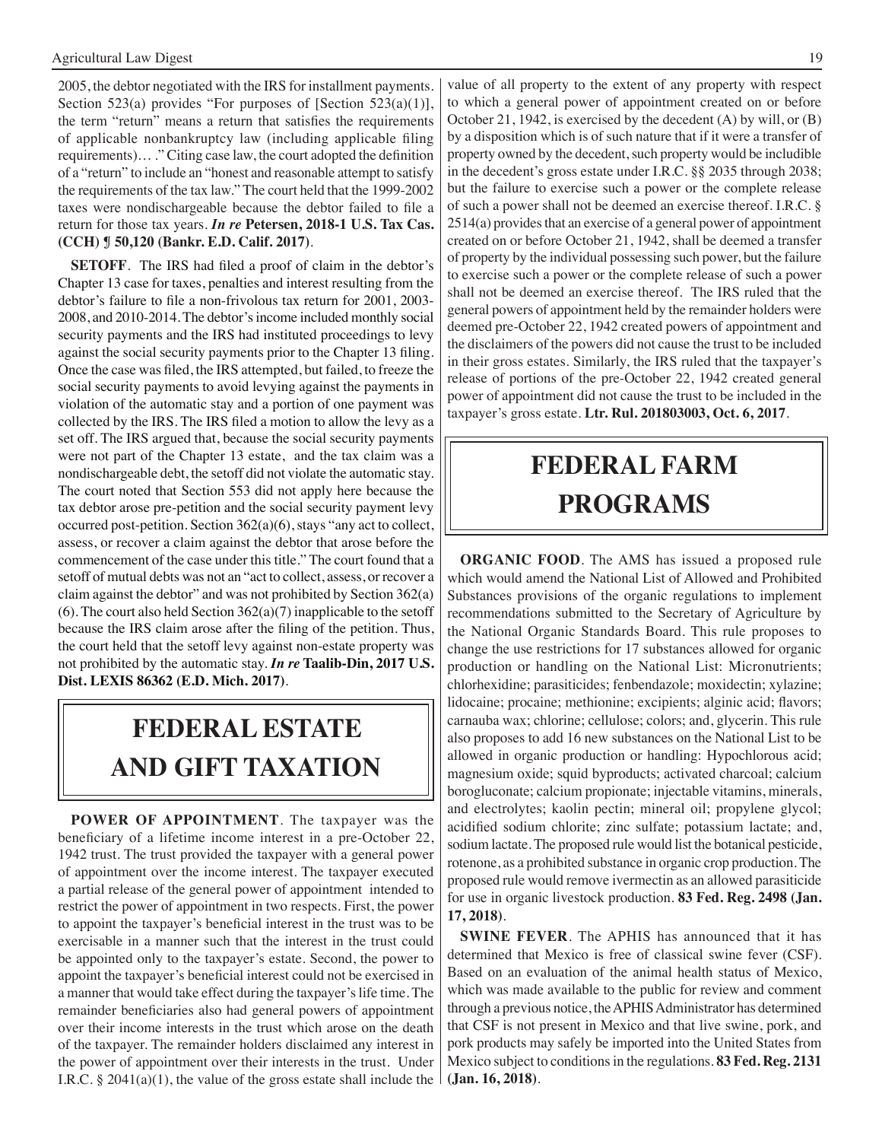2005, the debtor negotiated with the IRS for installment payments. Section 523(a) provides "For purposes of [Section 523(a)(1)], the term "return" means a return that satisfies the requirements of applicable nonbankruptcy law (including applicable filing requirements)… ." Citing case law, the court adopted the definition of a "return" to include an "honest and reasonable attempt to satisfy the requirements of the tax law." The court held that the 1999-2002 taxes were nondischargeable because the debtor failed to file a return for those tax years. *In re* **Petersen, 2018-1 U.S. Tax Cas. (CCH) ¶ 50,120 (Bankr. E.D. Calif. 2017)**.

**SETOFF**. The IRS had filed a proof of claim in the debtor's Chapter 13 case for taxes, penalties and interest resulting from the debtor's failure to file a non-frivolous tax return for 2001, 2003- 2008, and 2010-2014. The debtor's income included monthly social security payments and the IRS had instituted proceedings to levy against the social security payments prior to the Chapter 13 filing. Once the case was filed, the IRS attempted, but failed, to freeze the social security payments to avoid levying against the payments in violation of the automatic stay and a portion of one payment was collected by the IRS. The IRS filed a motion to allow the levy as a set off. The IRS argued that, because the social security payments were not part of the Chapter 13 estate, and the tax claim was a nondischargeable debt, the setoff did not violate the automatic stay. The court noted that Section 553 did not apply here because the tax debtor arose pre-petition and the social security payment levy occurred post-petition. Section 362(a)(6), stays "any act to collect, assess, or recover a claim against the debtor that arose before the commencement of the case under this title." The court found that a setoff of mutual debts was not an "act to collect, assess, or recover a claim against the debtor" and was not prohibited by Section 362(a)  $(6)$ . The court also held Section  $362(a)(7)$  inapplicable to the setoff because the IRS claim arose after the filing of the petition. Thus, the court held that the setoff levy against non-estate property was not prohibited by the automatic stay. *In re* **Taalib-Din, 2017 U.S. Dist. LEXIS 86362 (E.D. Mich. 2017)**.

# **FEDERAL ESTATE AND GIFT taxation**

**POWER OF APPOINTMENT**. The taxpayer was the beneficiary of a lifetime income interest in a pre-October 22, 1942 trust. The trust provided the taxpayer with a general power of appointment over the income interest. The taxpayer executed a partial release of the general power of appointment intended to restrict the power of appointment in two respects. First, the power to appoint the taxpayer's beneficial interest in the trust was to be exercisable in a manner such that the interest in the trust could be appointed only to the taxpayer's estate. Second, the power to appoint the taxpayer's beneficial interest could not be exercised in a manner that would take effect during the taxpayer's life time. The remainder beneficiaries also had general powers of appointment over their income interests in the trust which arose on the death of the taxpayer. The remainder holders disclaimed any interest in the power of appointment over their interests in the trust. Under I.R.C. § 2041(a)(1), the value of the gross estate shall include the value of all property to the extent of any property with respect to which a general power of appointment created on or before October 21, 1942, is exercised by the decedent (A) by will, or (B) by a disposition which is of such nature that if it were a transfer of property owned by the decedent, such property would be includible in the decedent's gross estate under I.R.C. §§ 2035 through 2038; but the failure to exercise such a power or the complete release of such a power shall not be deemed an exercise thereof. I.R.C. § 2514(a) provides that an exercise of a general power of appointment created on or before October 21, 1942, shall be deemed a transfer of property by the individual possessing such power, but the failure to exercise such a power or the complete release of such a power shall not be deemed an exercise thereof. The IRS ruled that the general powers of appointment held by the remainder holders were deemed pre-October 22, 1942 created powers of appointment and the disclaimers of the powers did not cause the trust to be included in their gross estates. Similarly, the IRS ruled that the taxpayer's release of portions of the pre-October 22, 1942 created general power of appointment did not cause the trust to be included in the taxpayer's gross estate. **Ltr. Rul. 201803003, Oct. 6, 2017**.

# **federal FARM PROGRAMS**

**ORGANIC FOOD**. The AMS has issued a proposed rule which would amend the National List of Allowed and Prohibited Substances provisions of the organic regulations to implement recommendations submitted to the Secretary of Agriculture by the National Organic Standards Board. This rule proposes to change the use restrictions for 17 substances allowed for organic production or handling on the National List: Micronutrients; chlorhexidine; parasiticides; fenbendazole; moxidectin; xylazine; lidocaine; procaine; methionine; excipients; alginic acid; flavors; carnauba wax; chlorine; cellulose; colors; and, glycerin. This rule also proposes to add 16 new substances on the National List to be allowed in organic production or handling: Hypochlorous acid; magnesium oxide; squid byproducts; activated charcoal; calcium borogluconate; calcium propionate; injectable vitamins, minerals, and electrolytes; kaolin pectin; mineral oil; propylene glycol; acidified sodium chlorite; zinc sulfate; potassium lactate; and, sodium lactate. The proposed rule would list the botanical pesticide, rotenone, as a prohibited substance in organic crop production. The proposed rule would remove ivermectin as an allowed parasiticide for use in organic livestock production. **83 Fed. Reg. 2498 (Jan. 17, 2018)**.

**SWINE FEVER**. The APHIS has announced that it has determined that Mexico is free of classical swine fever (CSF). Based on an evaluation of the animal health status of Mexico, which was made available to the public for review and comment through a previous notice, the APHIS Administrator has determined that CSF is not present in Mexico and that live swine, pork, and pork products may safely be imported into the United States from Mexico subject to conditions in the regulations. **83 Fed. Reg. 2131 (Jan. 16, 2018)**.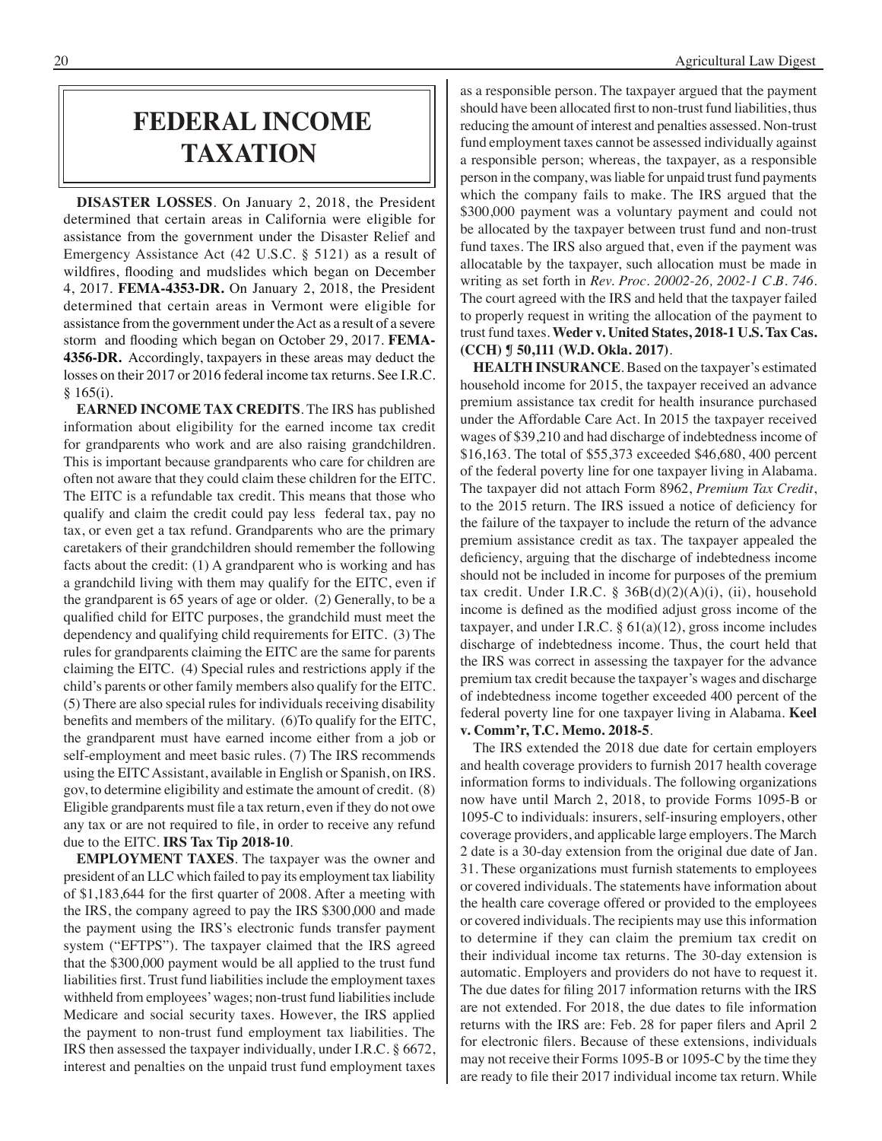# **federal income taxation**

**DISASTER LOSSES**. On January 2, 2018, the President determined that certain areas in California were eligible for assistance from the government under the Disaster Relief and Emergency Assistance Act (42 U.S.C. § 5121) as a result of wildfires, flooding and mudslides which began on December 4, 2017. **FEMA-4353-DR.** On January 2, 2018, the President determined that certain areas in Vermont were eligible for assistance from the government under the Act as a result of a severe storm and flooding which began on October 29, 2017. **FEMA-4356-DR.** Accordingly, taxpayers in these areas may deduct the losses on their 2017 or 2016 federal income tax returns. See I.R.C. § 165(i).

**EARNED INCOME TAX CREDITS**. The IRS has published information about eligibility for the earned income tax credit for grandparents who work and are also raising grandchildren. This is important because grandparents who care for children are often not aware that they could claim these children for the EITC. The EITC is a refundable tax credit. This means that those who qualify and claim the credit could pay less federal tax, pay no tax, or even get a tax refund. Grandparents who are the primary caretakers of their grandchildren should remember the following facts about the credit: (1) A grandparent who is working and has a grandchild living with them may qualify for the EITC, even if the grandparent is 65 years of age or older. (2) Generally, to be a qualified child for EITC purposes, the grandchild must meet the dependency and qualifying child requirements for EITC. (3) The rules for grandparents claiming the EITC are the same for parents claiming the EITC. (4) Special rules and restrictions apply if the child's parents or other family members also qualify for the EITC. (5) There are also special rules for individuals receiving disability benefits and members of the military. (6)To qualify for the EITC, the grandparent must have earned income either from a job or self-employment and meet basic rules. (7) The IRS recommends using the EITC Assistant, available in English or Spanish, on IRS. gov, to determine eligibility and estimate the amount of credit. (8) Eligible grandparents must file a tax return, even if they do not owe any tax or are not required to file, in order to receive any refund due to the EITC. **IRS Tax Tip 2018-10**.

**EMPLOYMENT TAXES**. The taxpayer was the owner and president of an LLC which failed to pay its employment tax liability of \$1,183,644 for the first quarter of 2008. After a meeting with the IRS, the company agreed to pay the IRS \$300,000 and made the payment using the IRS's electronic funds transfer payment system ("EFTPS"). The taxpayer claimed that the IRS agreed that the \$300,000 payment would be all applied to the trust fund liabilities first. Trust fund liabilities include the employment taxes withheld from employees' wages; non-trust fund liabilities include Medicare and social security taxes. However, the IRS applied the payment to non-trust fund employment tax liabilities. The IRS then assessed the taxpayer individually, under I.R.C. § 6672, interest and penalties on the unpaid trust fund employment taxes

as a responsible person. The taxpayer argued that the payment should have been allocated first to non-trust fund liabilities, thus reducing the amount of interest and penalties assessed. Non-trust fund employment taxes cannot be assessed individually against a responsible person; whereas, the taxpayer, as a responsible person in the company, was liable for unpaid trust fund payments which the company fails to make. The IRS argued that the \$300,000 payment was a voluntary payment and could not be allocated by the taxpayer between trust fund and non-trust fund taxes. The IRS also argued that, even if the payment was allocatable by the taxpayer, such allocation must be made in writing as set forth in *Rev. Proc. 20002-26, 2002-1 C.B. 746*. The court agreed with the IRS and held that the taxpayer failed to properly request in writing the allocation of the payment to trust fund taxes. **Weder v. United States, 2018-1 U.S. Tax Cas. (CCH) ¶ 50,111 (W.D. Okla. 2017)**.

**HEALTH INSURANCE**. Based on the taxpayer's estimated household income for 2015, the taxpayer received an advance premium assistance tax credit for health insurance purchased under the Affordable Care Act. In 2015 the taxpayer received wages of \$39,210 and had discharge of indebtedness income of \$16,163. The total of \$55,373 exceeded \$46,680, 400 percent of the federal poverty line for one taxpayer living in Alabama. The taxpayer did not attach Form 8962, *Premium Tax Credit*, to the 2015 return. The IRS issued a notice of deficiency for the failure of the taxpayer to include the return of the advance premium assistance credit as tax. The taxpayer appealed the deficiency, arguing that the discharge of indebtedness income should not be included in income for purposes of the premium tax credit. Under I.R.C. §  $36B(d)(2)(A)(i)$ , (ii), household income is defined as the modified adjust gross income of the taxpayer, and under I.R.C.  $\S 61(a)(12)$ , gross income includes discharge of indebtedness income. Thus, the court held that the IRS was correct in assessing the taxpayer for the advance premium tax credit because the taxpayer's wages and discharge of indebtedness income together exceeded 400 percent of the federal poverty line for one taxpayer living in Alabama. **Keel v. Comm'r, T.C. Memo. 2018-5**.

The IRS extended the 2018 due date for certain employers and health coverage providers to furnish 2017 health coverage information forms to individuals. The following organizations now have until March 2, 2018, to provide Forms 1095-B or 1095-C to individuals: insurers, self-insuring employers, other coverage providers, and applicable large employers. The March 2 date is a 30-day extension from the original due date of Jan. 31. These organizations must furnish statements to employees or covered individuals. The statements have information about the health care coverage offered or provided to the employees or covered individuals. The recipients may use this information to determine if they can claim the premium tax credit on their individual income tax returns. The 30-day extension is automatic. Employers and providers do not have to request it. The due dates for filing 2017 information returns with the IRS are not extended. For 2018, the due dates to file information returns with the IRS are: Feb. 28 for paper filers and April 2 for electronic filers. Because of these extensions, individuals may not receive their Forms 1095-B or 1095-C by the time they are ready to file their 2017 individual income tax return. While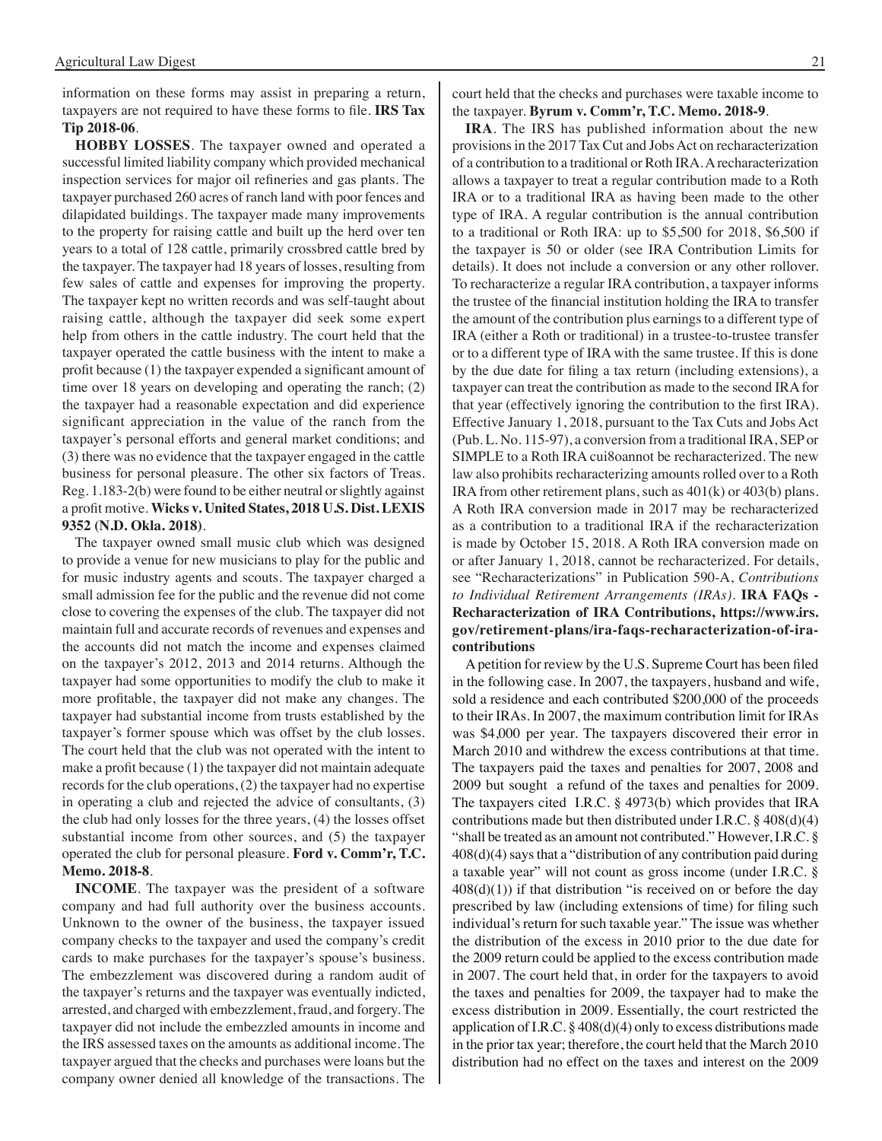information on these forms may assist in preparing a return, taxpayers are not required to have these forms to file. **IRS Tax Tip 2018-06**.

**HOBBY LOSSES**. The taxpayer owned and operated a successful limited liability company which provided mechanical inspection services for major oil refineries and gas plants. The taxpayer purchased 260 acres of ranch land with poor fences and dilapidated buildings. The taxpayer made many improvements to the property for raising cattle and built up the herd over ten years to a total of 128 cattle, primarily crossbred cattle bred by the taxpayer. The taxpayer had 18 years of losses, resulting from few sales of cattle and expenses for improving the property. The taxpayer kept no written records and was self-taught about raising cattle, although the taxpayer did seek some expert help from others in the cattle industry. The court held that the taxpayer operated the cattle business with the intent to make a profit because (1) the taxpayer expended a significant amount of time over 18 years on developing and operating the ranch; (2) the taxpayer had a reasonable expectation and did experience significant appreciation in the value of the ranch from the taxpayer's personal efforts and general market conditions; and (3) there was no evidence that the taxpayer engaged in the cattle business for personal pleasure. The other six factors of Treas. Reg. 1.183-2(b) were found to be either neutral or slightly against a profit motive. **Wicks v. United States, 2018 U.S. Dist. LEXIS 9352 (N.D. Okla. 2018)**.

The taxpayer owned small music club which was designed to provide a venue for new musicians to play for the public and for music industry agents and scouts. The taxpayer charged a small admission fee for the public and the revenue did not come close to covering the expenses of the club. The taxpayer did not maintain full and accurate records of revenues and expenses and the accounts did not match the income and expenses claimed on the taxpayer's 2012, 2013 and 2014 returns. Although the taxpayer had some opportunities to modify the club to make it more profitable, the taxpayer did not make any changes. The taxpayer had substantial income from trusts established by the taxpayer's former spouse which was offset by the club losses. The court held that the club was not operated with the intent to make a profit because (1) the taxpayer did not maintain adequate records for the club operations, (2) the taxpayer had no expertise in operating a club and rejected the advice of consultants, (3) the club had only losses for the three years, (4) the losses offset substantial income from other sources, and (5) the taxpayer operated the club for personal pleasure. **Ford v. Comm'r, T.C. Memo. 2018-8**.

**INCOME**. The taxpayer was the president of a software company and had full authority over the business accounts. Unknown to the owner of the business, the taxpayer issued company checks to the taxpayer and used the company's credit cards to make purchases for the taxpayer's spouse's business. The embezzlement was discovered during a random audit of the taxpayer's returns and the taxpayer was eventually indicted, arrested, and charged with embezzlement, fraud, and forgery. The taxpayer did not include the embezzled amounts in income and the IRS assessed taxes on the amounts as additional income. The taxpayer argued that the checks and purchases were loans but the company owner denied all knowledge of the transactions. The court held that the checks and purchases were taxable income to the taxpayer. **Byrum v. Comm'r, T.C. Memo. 2018-9**.

**IRA**. The IRS has published information about the new provisions in the 2017 Tax Cut and Jobs Act on recharacterization of a contribution to a traditional or Roth IRA. A recharacterization allows a taxpayer to treat a regular contribution made to a Roth IRA or to a traditional IRA as having been made to the other type of IRA. A regular contribution is the annual contribution to a traditional or Roth IRA: up to \$5,500 for 2018, \$6,500 if the taxpayer is 50 or older (see IRA Contribution Limits for details). It does not include a conversion or any other rollover. To recharacterize a regular IRA contribution, a taxpayer informs the trustee of the financial institution holding the IRA to transfer the amount of the contribution plus earnings to a different type of IRA (either a Roth or traditional) in a trustee-to-trustee transfer or to a different type of IRA with the same trustee. If this is done by the due date for filing a tax return (including extensions), a taxpayer can treat the contribution as made to the second IRA for that year (effectively ignoring the contribution to the first IRA). Effective January 1, 2018, pursuant to the Tax Cuts and Jobs Act (Pub. L. No. 115-97), a conversion from a traditional IRA, SEP or SIMPLE to a Roth IRA cui8oannot be recharacterized. The new law also prohibits recharacterizing amounts rolled over to a Roth IRA from other retirement plans, such as 401(k) or 403(b) plans. A Roth IRA conversion made in 2017 may be recharacterized as a contribution to a traditional IRA if the recharacterization is made by October 15, 2018. A Roth IRA conversion made on or after January 1, 2018, cannot be recharacterized. For details, see "Recharacterizations" in Publication 590-A, *Contributions to Individual Retirement Arrangements (IRAs)*. **IRA FAQs - Recharacterization of IRA Contributions, https://www.irs. gov/retirement-plans/ira-faqs-recharacterization-of-iracontributions**

 Apetition for review by the U.S. Supreme Court has been filed in the following case. In 2007, the taxpayers, husband and wife, sold a residence and each contributed \$200,000 of the proceeds to their IRAs. In 2007, the maximum contribution limit for IRAs was \$4,000 per year. The taxpayers discovered their error in March 2010 and withdrew the excess contributions at that time. The taxpayers paid the taxes and penalties for 2007, 2008 and 2009 but sought a refund of the taxes and penalties for 2009. The taxpayers cited I.R.C. § 4973(b) which provides that IRA contributions made but then distributed under I.R.C.  $\S$  408(d)(4) "shall be treated as an amount not contributed." However, I.R.C. § 408(d)(4) says that a "distribution of any contribution paid during a taxable year" will not count as gross income (under I.R.C. §  $408(d)(1)$ ) if that distribution "is received on or before the day prescribed by law (including extensions of time) for filing such individual's return for such taxable year." The issue was whether the distribution of the excess in 2010 prior to the due date for the 2009 return could be applied to the excess contribution made in 2007. The court held that, in order for the taxpayers to avoid the taxes and penalties for 2009, the taxpayer had to make the excess distribution in 2009. Essentially, the court restricted the application of I.R.C.  $\S 408(d)(4)$  only to excess distributions made in the prior tax year; therefore, the court held that the March 2010 distribution had no effect on the taxes and interest on the 2009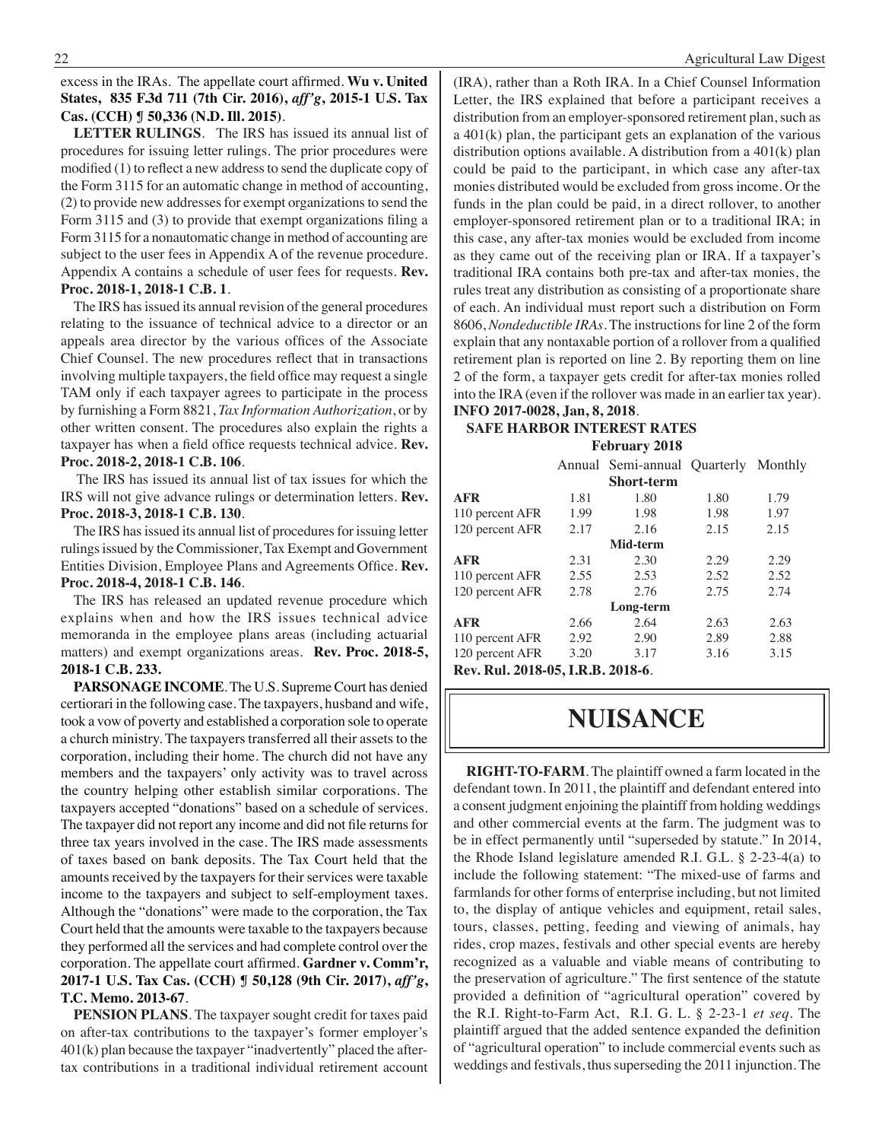excess in the IRAs. The appellate court affirmed. **Wu v. United States, 835 F.3d 711 (7th Cir. 2016),** *aff'g***, 2015-1 U.S. Tax Cas. (CCH) ¶ 50,336 (N.D. Ill. 2015)**.

**LETTER RULINGS**. The IRS has issued its annual list of procedures for issuing letter rulings. The prior procedures were modified (1) to reflect a new address to send the duplicate copy of the Form 3115 for an automatic change in method of accounting, (2) to provide new addresses for exempt organizations to send the Form 3115 and (3) to provide that exempt organizations filing a Form 3115 for a nonautomatic change in method of accounting are subject to the user fees in Appendix A of the revenue procedure. Appendix A contains a schedule of user fees for requests. **Rev. Proc. 2018-1, 2018-1 C.B. 1**.

The IRS has issued its annual revision of the general procedures relating to the issuance of technical advice to a director or an appeals area director by the various offices of the Associate Chief Counsel. The new procedures reflect that in transactions involving multiple taxpayers, the field office may request a single TAM only if each taxpayer agrees to participate in the process by furnishing a Form 8821, *Tax Information Authorization*, or by other written consent. The procedures also explain the rights a taxpayer has when a field office requests technical advice. **Rev. Proc. 2018-2, 2018-1 C.B. 106**.

 The IRS has issued its annual list of tax issues for which the IRS will not give advance rulings or determination letters. **Rev. Proc. 2018-3, 2018-1 C.B. 130**.

The IRS has issued its annual list of procedures for issuing letter rulings issued by the Commissioner, Tax Exempt and Government Entities Division, Employee Plans and Agreements Office. **Rev. Proc. 2018-4, 2018-1 C.B. 146**.

The IRS has released an updated revenue procedure which explains when and how the IRS issues technical advice memoranda in the employee plans areas (including actuarial matters) and exempt organizations areas. **Rev. Proc. 2018-5, 2018-1 C.B. 233.**

**PARSONAGE INCOME**. The U.S. Supreme Court has denied certiorari in the following case. The taxpayers, husband and wife, took a vow of poverty and established a corporation sole to operate a church ministry. The taxpayers transferred all their assets to the corporation, including their home. The church did not have any members and the taxpayers' only activity was to travel across the country helping other establish similar corporations. The taxpayers accepted "donations" based on a schedule of services. The taxpayer did not report any income and did not file returns for three tax years involved in the case. The IRS made assessments of taxes based on bank deposits. The Tax Court held that the amounts received by the taxpayers for their services were taxable income to the taxpayers and subject to self-employment taxes. Although the "donations" were made to the corporation, the Tax Court held that the amounts were taxable to the taxpayers because they performed all the services and had complete control over the corporation. The appellate court affirmed. **Gardner v. Comm'r, 2017-1 U.S. Tax Cas. (CCH) ¶ 50,128 (9th Cir. 2017),** *aff'g***, T.C. Memo. 2013-67**.

**PENSION PLANS**. The taxpayer sought credit for taxes paid on after-tax contributions to the taxpayer's former employer's 401(k) plan because the taxpayer "inadvertently" placed the aftertax contributions in a traditional individual retirement account (IRA), rather than a Roth IRA. In a Chief Counsel Information Letter, the IRS explained that before a participant receives a distribution from an employer-sponsored retirement plan, such as a 401(k) plan, the participant gets an explanation of the various distribution options available. A distribution from a 401(k) plan could be paid to the participant, in which case any after-tax monies distributed would be excluded from gross income. Or the funds in the plan could be paid, in a direct rollover, to another employer-sponsored retirement plan or to a traditional IRA; in this case, any after-tax monies would be excluded from income as they came out of the receiving plan or IRA. If a taxpayer's traditional IRA contains both pre-tax and after-tax monies, the rules treat any distribution as consisting of a proportionate share of each. An individual must report such a distribution on Form 8606, *Nondeductible IRAs*. The instructions for line 2 of the form explain that any nontaxable portion of a rollover from a qualified retirement plan is reported on line 2. By reporting them on line 2 of the form, a taxpayer gets credit for after-tax monies rolled into the IRA (even if the rollover was made in an earlier tax year). **INFO 2017-0028, Jan, 8, 2018**.

### **Safe Harbor interest rates February 2018**

|                                   |      | Annual Semi-annual Quarterly Monthly |      |      |
|-----------------------------------|------|--------------------------------------|------|------|
|                                   |      | <b>Short-term</b>                    |      |      |
| <b>AFR</b>                        | 1.81 | 1.80                                 | 1.80 | 1.79 |
| 110 percent AFR                   | 1.99 | 1.98                                 | 1.98 | 1.97 |
| 120 percent AFR                   | 2.17 | 2.16                                 | 2.15 | 2.15 |
|                                   |      | Mid-term                             |      |      |
| <b>AFR</b>                        | 2.31 | 2.30                                 | 2.29 | 2.29 |
| 110 percent AFR                   | 2.55 | 2.53                                 | 2.52 | 2.52 |
| 120 percent AFR                   | 2.78 | 2.76                                 | 2.75 | 2.74 |
|                                   |      | Long-term                            |      |      |
| <b>AFR</b>                        | 2.66 | 2.64                                 | 2.63 | 2.63 |
| 110 percent AFR                   | 2.92 | 2.90                                 | 2.89 | 2.88 |
| 120 percent AFR                   | 3.20 | 3.17                                 | 3.16 | 3.15 |
| Rev. Rul. 2018-05, I.R.B. 2018-6. |      |                                      |      |      |

# **nuisance**

**RIGHT-TO-FARM**. The plaintiff owned a farm located in the defendant town. In 2011, the plaintiff and defendant entered into a consent judgment enjoining the plaintiff from holding weddings and other commercial events at the farm. The judgment was to be in effect permanently until "superseded by statute." In 2014, the Rhode Island legislature amended R.I. G.L. § 2-23-4(a) to include the following statement: "The mixed-use of farms and farmlands for other forms of enterprise including, but not limited to, the display of antique vehicles and equipment, retail sales, tours, classes, petting, feeding and viewing of animals, hay rides, crop mazes, festivals and other special events are hereby recognized as a valuable and viable means of contributing to the preservation of agriculture." The first sentence of the statute provided a definition of "agricultural operation" covered by the R.I. Right-to-Farm Act, R.I. G. L. § 2-23-1 *et seq*. The plaintiff argued that the added sentence expanded the definition of "agricultural operation" to include commercial events such as weddings and festivals, thus superseding the 2011 injunction. The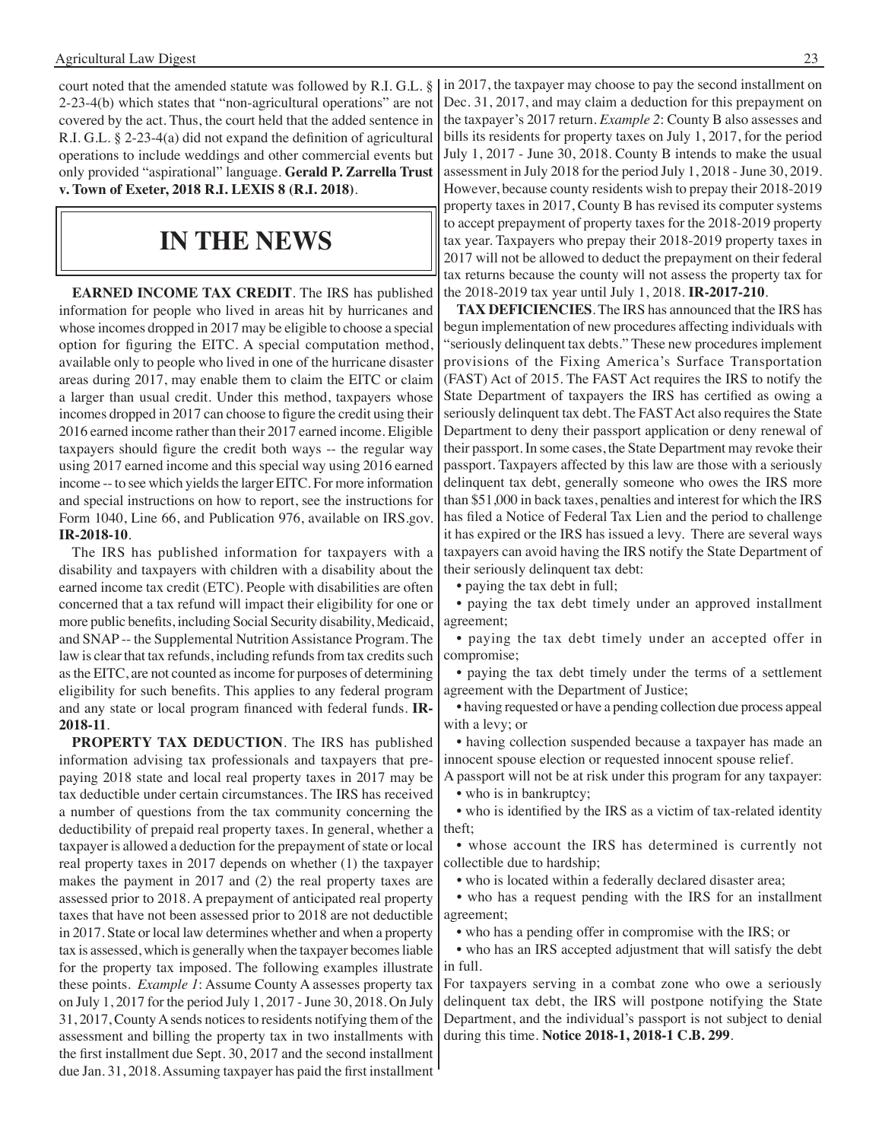court noted that the amended statute was followed by R.I. G.L. § 2-23-4(b) which states that "non-agricultural operations" are not covered by the act. Thus, the court held that the added sentence in R.I. G.L. § 2-23-4(a) did not expand the definition of agricultural operations to include weddings and other commercial events but only provided "aspirational" language. **Gerald P. Zarrella Trust v. Town of Exeter, 2018 R.I. LEXIS 8 (R.I. 2018)**.

# **in the news**

**EARNED INCOME TAX CREDIT**. The IRS has published information for people who lived in areas hit by hurricanes and whose incomes dropped in 2017 may be eligible to choose a special option for figuring the EITC. A special computation method, available only to people who lived in one of the hurricane disaster areas during 2017, may enable them to claim the EITC or claim a larger than usual credit. Under this method, taxpayers whose incomes dropped in 2017 can choose to figure the credit using their 2016 earned income rather than their 2017 earned income. Eligible taxpayers should figure the credit both ways -- the regular way using 2017 earned income and this special way using 2016 earned income -- to see which yields the larger EITC. For more information and special instructions on how to report, see the instructions for Form 1040, Line 66, and Publication 976, available on IRS.gov. **IR-2018-10**.

The IRS has published information for taxpayers with a disability and taxpayers with children with a disability about the earned income tax credit (ETC). People with disabilities are often concerned that a tax refund will impact their eligibility for one or more public benefits, including Social Security disability, Medicaid, and SNAP -- the Supplemental Nutrition Assistance Program. The law is clear that tax refunds, including refunds from tax credits such as the EITC, are not counted as income for purposes of determining eligibility for such benefits. This applies to any federal program and any state or local program financed with federal funds. **IR-2018-11**.

**PROPERTY TAX DEDUCTION**. The IRS has published information advising tax professionals and taxpayers that prepaying 2018 state and local real property taxes in 2017 may be tax deductible under certain circumstances. The IRS has received a number of questions from the tax community concerning the deductibility of prepaid real property taxes. In general, whether a taxpayer is allowed a deduction for the prepayment of state or local real property taxes in 2017 depends on whether (1) the taxpayer makes the payment in 2017 and (2) the real property taxes are assessed prior to 2018. A prepayment of anticipated real property taxes that have not been assessed prior to 2018 are not deductible in 2017. State or local law determines whether and when a property tax is assessed, which is generally when the taxpayer becomes liable for the property tax imposed. The following examples illustrate these points. *Example 1*: Assume County A assesses property tax on July 1, 2017 for the period July 1, 2017 - June 30, 2018. On July 31, 2017, County A sends notices to residents notifying them of the assessment and billing the property tax in two installments with the first installment due Sept. 30, 2017 and the second installment due Jan. 31, 2018.Assuming taxpayer has paid the first installment

In 2017, the taxpayer may choose to pay the second installment on Dec. 31, 2017, and may claim a deduction for this prepayment on the taxpayer's 2017 return. *Example 2*: County B also assesses and bills its residents for property taxes on July 1, 2017, for the period July 1, 2017 - June 30, 2018. County B intends to make the usual assessment in July 2018 for the period July 1, 2018 - June 30, 2019. However, because county residents wish to prepay their 2018-2019 property taxes in 2017, County B has revised its computer systems to accept prepayment of property taxes for the 2018-2019 property tax year. Taxpayers who prepay their 2018-2019 property taxes in 2017 will not be allowed to deduct the prepayment on their federal tax returns because the county will not assess the property tax for the 2018-2019 tax year until July 1, 2018. **IR-2017-210**.

**TAX DEFICIENCIES**. The IRS has announced that the IRS has begun implementation of new procedures affecting individuals with "seriously delinquent tax debts." These new procedures implement provisions of the Fixing America's Surface Transportation (FAST) Act of 2015. The FAST Act requires the IRS to notify the State Department of taxpayers the IRS has certified as owing a seriously delinquent tax debt. The FAST Act also requires the State Department to deny their passport application or deny renewal of their passport. In some cases, the State Department may revoke their passport. Taxpayers affected by this law are those with a seriously delinquent tax debt, generally someone who owes the IRS more than \$51,000 in back taxes, penalties and interest for which the IRS has filed a Notice of Federal Tax Lien and the period to challenge it has expired or the IRS has issued a levy. There are several ways taxpayers can avoid having the IRS notify the State Department of their seriously delinquent tax debt:

 • paying the tax debt in full;

 • paying the tax debt timely under an approved installment agreement;

 • paying the tax debt timely under an accepted offer in compromise;

 • paying the tax debt timely under the terms of a settlement agreement with the Department of Justice;

 • having requested or have a pending collection due process appeal with a levy; or

 • having collection suspended because a taxpayer has made an innocent spouse election or requested innocent spouse relief.

A passport will not be at risk under this program for any taxpayer: • who is in bankruptcy;

 • who is identified by the IRS as a victim of tax-related identity theft;

 • whose account the IRS has determined is currently not collectible due to hardship;

 • who is located within a federally declared disaster area;

 • who has a request pending with the IRS for an installment agreement;

 • who has a pending offer in compromise with the IRS; or

 • who has an IRS accepted adjustment that will satisfy the debt in full.

For taxpayers serving in a combat zone who owe a seriously delinquent tax debt, the IRS will postpone notifying the State Department, and the individual's passport is not subject to denial during this time. **Notice 2018-1, 2018-1 C.B. 299**.